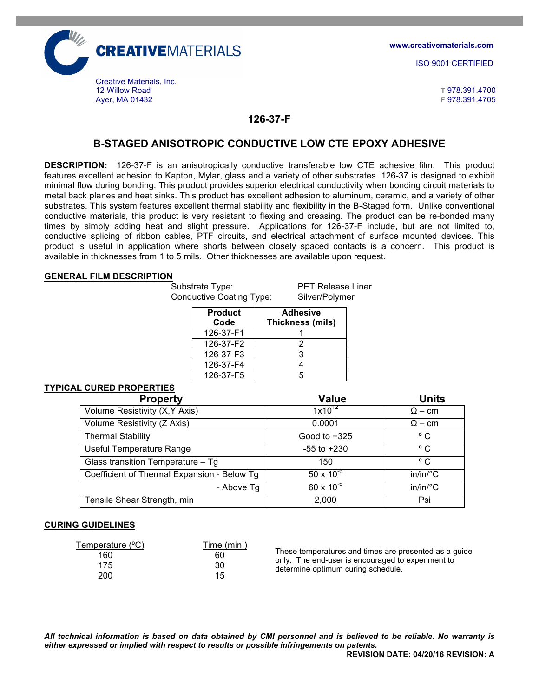

**www.creativematerials.com**

ISO 9001 CERTIFIED

Ayer, MA 01432 **F** 978.391.4705

### **126-37-F**

# **B-STAGED ANISOTROPIC CONDUCTIVE LOW CTE EPOXY ADHESIVE**

**DESCRIPTION:** 126-37-F is an anisotropically conductive transferable low CTE adhesive film. This product features excellent adhesion to Kapton, Mylar, glass and a variety of other substrates. 126-37 is designed to exhibit minimal flow during bonding. This product provides superior electrical conductivity when bonding circuit materials to metal back planes and heat sinks. This product has excellent adhesion to aluminum, ceramic, and a variety of other substrates. This system features excellent thermal stability and flexibility in the B-Staged form. Unlike conventional conductive materials, this product is very resistant to flexing and creasing. The product can be re-bonded many times by simply adding heat and slight pressure. Applications for 126-37-F include, but are not limited to, conductive splicing of ribbon cables, PTF circuits, and electrical attachment of surface mounted devices. This product is useful in application where shorts between closely spaced contacts is a concern. This product is available in thicknesses from 1 to 5 mils. Other thicknesses are available upon request.

#### **GENERAL FILM DESCRIPTION**

Substrate Type: PET Release Liner Conductive Coating Type: Silver/Polymer

| <b>Product</b><br>Code | <b>Adhesive</b><br>Thickness (mils) |
|------------------------|-------------------------------------|
| 126-37-F1              |                                     |
| 126-37-F2              | 2                                   |
| 126-37-F3              |                                     |
| 126-37-F4              |                                     |
| 126-37-F5              |                                     |

# **TYPICAL CURED PROPERTIES**

| <b>Property</b>                             | <b>Value</b>        | <b>Units</b>      |
|---------------------------------------------|---------------------|-------------------|
| Volume Resistivity (X, Y Axis)              | $1x10^{12}$         | $\Omega$ – cm     |
| Volume Resistivity (Z Axis)                 | 0.0001              | $\Omega$ – cm     |
| <b>Thermal Stability</b>                    | Good to $+325$      | $^{\circ}$ C      |
| <b>Useful Temperature Range</b>             | $-55$ to $+230$     | $^{\circ}$ C      |
| Glass transition Temperature - Tg           | 150                 | $^{\circ}$ C      |
| Coefficient of Thermal Expansion - Below Tg | $50 \times 10^{-6}$ | $in/in/^{\circ}C$ |
| - Above Tg                                  | $60 \times 10^{-6}$ | $in/in/^{\circ}C$ |
| Tensile Shear Strength, min                 | 2,000               | Psi               |

#### **CURING GUIDELINES**

| Temperature (°C) | Time (min.) |
|------------------|-------------|
| 160              | 60          |
| 175              | 30          |
| 200              | 15          |
|                  |             |

These temperatures and times are presented as a guide only. The end-user is encouraged to experiment to determine optimum curing schedule.

*All technical information is based on data obtained by CMI personnel and is believed to be reliable. No warranty is either expressed or implied with respect to results or possible infringements on patents.*